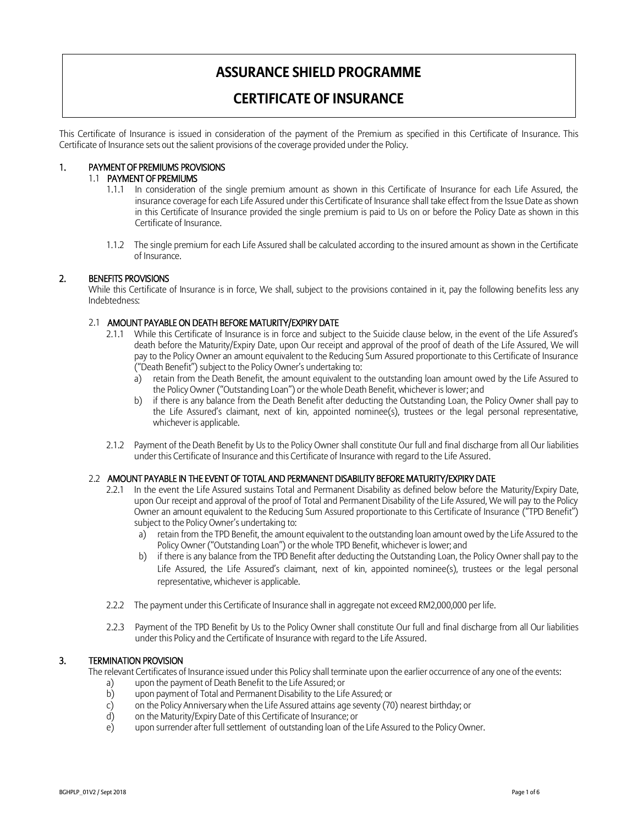# **ASSURANCE SHIELD PROGRAMME**

# **CERTIFICATE OF INSURANCE**

This Certificate of Insurance is issued in consideration of the payment of the Premium as specified in this Certificate of Insurance. This Certificate of Insurance sets out the salient provisions of the coverage provided under the Policy.

# 1. PAYMENT OF PREMIUMS PROVISIONS

## 1.1 PAYMENT OF PREMIUMS

- 1.1.1 In consideration of the single premium amount as shown in this Certificate of Insurance for each Life Assured, the insurance coverage for each Life Assured under this Certificate of Insurance shall take effect from the Issue Date as shown in this Certificate of Insurance provided the single premium is paid to Us on or before the Policy Date as shown in this Certificate of Insurance.
- 1.1.2 The single premium for each Life Assured shall be calculated according to the insured amount as shown in the Certificate of Insurance.

# 2. BENEFITS PROVISIONS

While this Certificate of Insurance is in force, We shall, subject to the provisions contained in it, pay the following benefits less any Indebtedness:

## 2.1 AMOUNT PAYABLE ON DEATH BEFORE MATURITY/EXPIRY DATE

- 2.1.1 While this Certificate of Insurance is in force and subject to the Suicide clause below, in the event of the Life Assured's death before the Maturity/Expiry Date, upon Our receipt and approval of the proof of death of the Life Assured, We will pay to the Policy Owner an amount equivalent to the Reducing Sum Assured proportionate to this Certificate of Insurance ("Death Benefit") subject to the Policy Owner's undertaking to:
	- a) retain from the Death Benefit, the amount equivalent to the outstanding loan amount owed by the Life Assured to the Policy Owner ("Outstanding Loan") or the whole Death Benefit, whichever is lower; and
	- b) if there is any balance from the Death Benefit after deducting the Outstanding Loan, the Policy Owner shall pay to the Life Assured's claimant, next of kin, appointed nominee(s), trustees or the legal personal representative, whichever is applicable.
- 2.1.2 Payment of the Death Benefit by Us to the Policy Owner shall constitute Our full and final discharge from all Our liabilities under this Certificate of Insurance and this Certificate of Insurance with regard to the Life Assured.

## 2.2 AMOUNT PAYABLE IN THE EVENT OF TOTAL AND PERMANENT DISABILITY BEFORE MATURITY/EXPIRY DATE

- 2.2.1 In the event the Life Assured sustains Total and Permanent Disability as defined below before the Maturity/Expiry Date, upon Our receipt and approval of the proof of Total and Permanent Disability of the Life Assured, We will pay to the Policy Owner an amount equivalent to the Reducing Sum Assured proportionate to this Certificate of Insurance ("TPD Benefit") subject to the Policy Owner's undertaking to:
	- a) retain from the TPD Benefit, the amount equivalent to the outstanding loan amount owed by the Life Assured to the Policy Owner ("Outstanding Loan") or the whole TPD Benefit, whichever is lower; and
	- b) if there is any balance from the TPD Benefit after deducting the Outstanding Loan, the Policy Owner shall pay to the Life Assured, the Life Assured's claimant, next of kin, appointed nominee(s), trustees or the legal personal representative, whichever is applicable.
- 2.2.2 The payment under this Certificate of Insurance shall in aggregate not exceed RM2,000,000 per life.
- 2.2.3 Payment of the TPD Benefit by Us to the Policy Owner shall constitute Our full and final discharge from all Our liabilities under this Policy and the Certificate of Insurance with regard to the Life Assured.

## 3. TERMINATION PROVISION

The relevant Certificates of Insurance issued under this Policy shall terminate upon the earlier occurrence of any one of the events:

- a) upon the payment of Death Benefit to the Life Assured; or<br>b) upon payment of Total and Permanent Disability to the Life
- upon payment of Total and Permanent Disability to the Life Assured; or
- c) on the Policy Anniversary when the Life Assured attains age seventy (70) nearest birthday; or c) on the Maturity/Expiry Date of this Certificate of Insurance: or
- on the Maturity/Expiry Date of this Certificate of Insurance; or
- e) upon surrender after full settlement of outstanding loan of the Life Assured to the Policy Owner.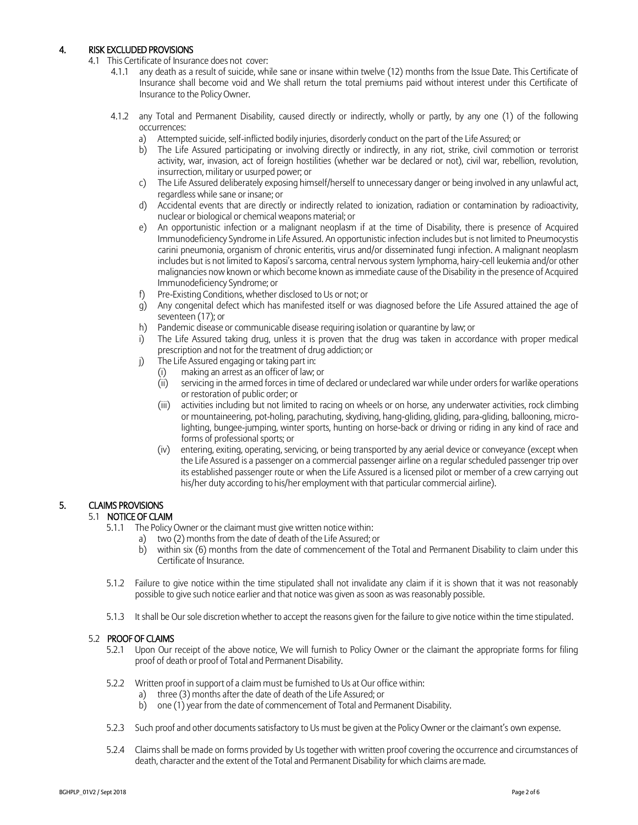# 4. RISK EXCLUDED PROVISIONS

- 4.1 This Certificate of Insurance does not cover:
	- 4.1.1 any death as a result of suicide, while sane or insane within twelve (12) months from the Issue Date. This Certificate of Insurance shall become void and We shall return the total premiums paid without interest under this Certificate of Insurance to the Policy Owner.
	- 4.1.2 any Total and Permanent Disability, caused directly or indirectly, wholly or partly, by any one (1) of the following occurrences:
		- a) Attempted suicide, self-inflicted bodily injuries, disorderly conduct on the part of the Life Assured; or
		- b) The Life Assured participating or involving directly or indirectly, in any riot, strike, civil commotion or terrorist activity, war, invasion, act of foreign hostilities (whether war be declared or not), civil war, rebellion, revolution, insurrection, military or usurped power; or
		- c) The Life Assured deliberately exposing himself/herself to unnecessary danger or being involved in any unlawful act, regardless while sane or insane; or
		- d) Accidental events that are directly or indirectly related to ionization, radiation or contamination by radioactivity, nuclear or biological or chemical weapons material; or
		- e) An opportunistic infection or a malignant neoplasm if at the time of Disability, there is presence of Acquired Immunodeficiency Syndrome in Life Assured. An opportunistic infection includes but is not limited to Pneumocystis carini pneumonia, organism of chronic enteritis, virus and/or disseminated fungi infection. A malignant neoplasm includes but is not limited to Kaposi's sarcoma, central nervous system lymphoma, hairy-cell leukemia and/or other malignancies now known or which become known as immediate cause of the Disability in the presence of Acquired Immunodeficiency Syndrome; or
		- f) Pre-Existing Conditions, whether disclosed to Us or not; or
		- g) Any congenital defect which has manifested itself or was diagnosed before the Life Assured attained the age of seventeen (17); or
		- h) Pandemic disease or communicable disease requiring isolation or quarantine by law; or
		- i) The Life Assured taking drug, unless it is proven that the drug was taken in accordance with proper medical prescription and not for the treatment of drug addiction; or
		- j) The Life Assured engaging or taking part in:
			- (i) making an arrest as an officer of law; or
				- (ii) servicing in the armed forces in time of declared or undeclared war while under orders for warlike operations or restoration of public order; or
				- (iii) activities including but not limited to racing on wheels or on horse, any underwater activities, rock climbing or mountaineering, pot-holing, parachuting, skydiving, hang-gliding, gliding, para-gliding, ballooning, microlighting, bungee-jumping, winter sports, hunting on horse-back or driving or riding in any kind of race and forms of professional sports; or
				- (iv) entering, exiting, operating, servicing, or being transported by any aerial device or conveyance (except when the Life Assured is a passenger on a commercial passenger airline on a regular scheduled passenger trip over its established passenger route or when the Life Assured is a licensed pilot or member of a crew carrying out his/her duty according to his/her employment with that particular commercial airline).

# 5. CLAIMS PROVISIONS

# 5.1 NOTICE OF CLAIM

- 5.1.1 The Policy Owner or the claimant must give written notice within:
	- a) two (2) months from the date of death of the Life Assured; or
	- b) within six (6) months from the date of commencement of the Total and Permanent Disability to claim under this Certificate of Insurance.
- 5.1.2 Failure to give notice within the time stipulated shall not invalidate any claim if it is shown that it was not reasonably possible to give such notice earlier and that notice was given as soon as was reasonably possible.
- 5.1.3 It shall be Our sole discretion whether to accept the reasons given for the failure to give notice within the time stipulated.

# 5.2 PROOF OF CLAIMS

- 5.2.1 Upon Our receipt of the above notice, We will furnish to Policy Owner or the claimant the appropriate forms for filing proof of death or proof of Total and Permanent Disability.
- 5.2.2 Written proof in support of a claim must be furnished to Us at Our office within:
	- a) three (3) months after the date of death of the Life Assured; or
	- b) one (1) year from the date of commencement of Total and Permanent Disability.
- 5.2.3 Such proof and other documents satisfactory to Us must be given at the Policy Owner or the claimant's own expense.
- 5.2.4 Claims shall be made on forms provided by Us together with written proof covering the occurrence and circumstances of death, character and the extent of the Total and Permanent Disability for which claims are made.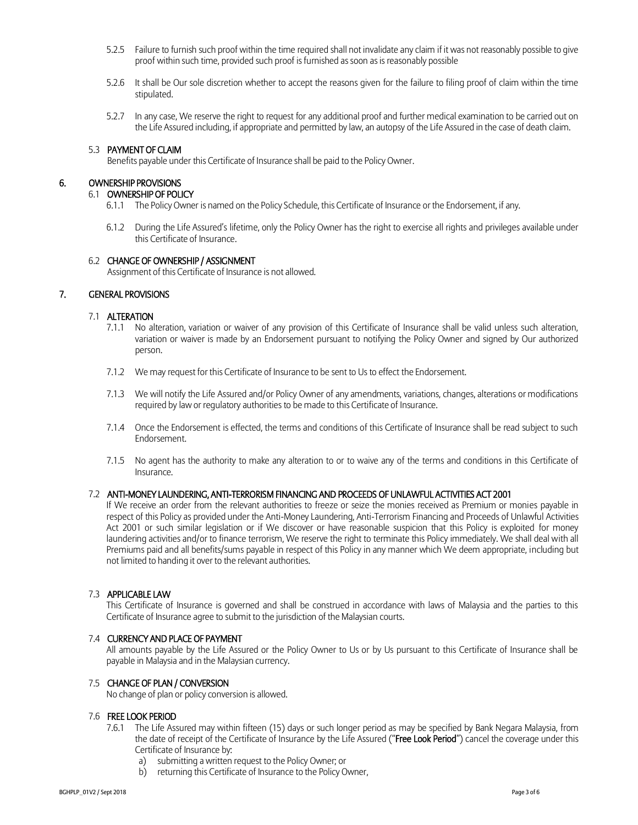- 5.2.5 Failure to furnish such proof within the time required shall not invalidate any claim if it was not reasonably possible to give proof within such time, provided such proof is furnished as soon as is reasonably possible
- 5.2.6 It shall be Our sole discretion whether to accept the reasons given for the failure to filing proof of claim within the time stipulated.
- 5.2.7 In any case, We reserve the right to request for any additional proof and further medical examination to be carried out on the Life Assured including, if appropriate and permitted by law, an autopsy of the Life Assured in the case of death claim.

#### 5.3 PAYMENT OF CLAIM

Benefits payable under this Certificate of Insurance shall be paid to the Policy Owner.

# 6. OWNERSHIP PROVISIONS

## 6.1 OWNERSHIP OF POLICY

- 6.1.1 The Policy Owner is named on the Policy Schedule, this Certificate of Insurance or the Endorsement, if any.
- 6.1.2 During the Life Assured's lifetime, only the Policy Owner has the right to exercise all rights and privileges available under this Certificate of Insurance.

#### 6.2 CHANGE OF OWNERSHIP / ASSIGNMENT

Assignment of this Certificate of Insurance is not allowed.

## 7. GENERAL PROVISIONS

#### 7.1 ALTERATION

- 7.1.1 No alteration, variation or waiver of any provision of this Certificate of Insurance shall be valid unless such alteration, variation or waiver is made by an Endorsement pursuant to notifying the Policy Owner and signed by Our authorized person.
- 7.1.2 We may request for this Certificate of Insurance to be sent to Us to effect the Endorsement.
- 7.1.3 We will notify the Life Assured and/or Policy Owner of any amendments, variations, changes, alterations or modifications required by law or regulatory authorities to be made to this Certificate of Insurance.
- 7.1.4 Once the Endorsement is effected, the terms and conditions of this Certificate of Insurance shall be read subject to such Endorsement.
- 7.1.5 No agent has the authority to make any alteration to or to waive any of the terms and conditions in this Certificate of Insurance.

## 7.2 ANTI-MONEY LAUNDERING, ANTI-TERRORISM FINANCING AND PROCEEDS OF UNLAWFUL ACTIVITIES ACT 2001

If We receive an order from the relevant authorities to freeze or seize the monies received as Premium or monies payable in respect of this Policy as provided under the Anti-Money Laundering, Anti-Terrorism Financing and Proceeds of Unlawful Activities Act 2001 or such similar legislation or if We discover or have reasonable suspicion that this Policy is exploited for money laundering activities and/or to finance terrorism, We reserve the right to terminate this Policy immediately. We shall deal with all Premiums paid and all benefits/sums payable in respect of this Policy in any manner which We deem appropriate, including but not limited to handing it over to the relevant authorities.

## 7.3 APPLICABLE LAW

This Certificate of Insurance is governed and shall be construed in accordance with laws of Malaysia and the parties to this Certificate of Insurance agree to submit to the jurisdiction of the Malaysian courts.

## 7.4 CURRENCY AND PLACE OF PAYMENT

All amounts payable by the Life Assured or the Policy Owner to Us or by Us pursuant to this Certificate of Insurance shall be payable in Malaysia and in the Malaysian currency.

## 7.5 CHANGE OF PLAN / CONVERSION

No change of plan or policy conversion is allowed.

#### 7.6 FREE LOOK PERIOD

- 7.6.1 The Life Assured may within fifteen (15) days or such longer period as may be specified by Bank Negara Malaysia, from the date of receipt of the Certificate of Insurance by the Life Assured ("Free Look Period") cancel the coverage under this Certificate of Insurance by:
	- a) submitting a written request to the Policy Owner; or
	- b) returning this Certificate of Insurance to the Policy Owner,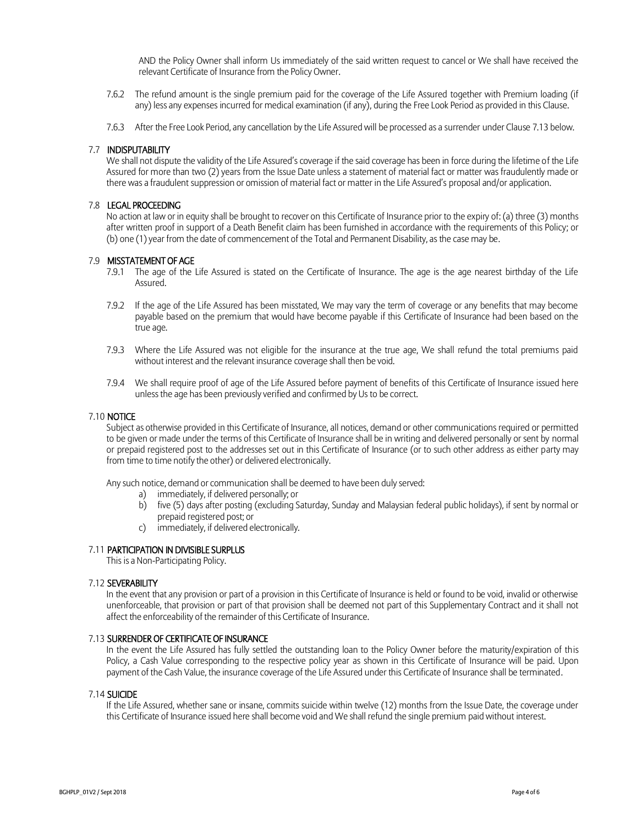AND the Policy Owner shall inform Us immediately of the said written request to cancel or We shall have received the relevant Certificate of Insurance from the Policy Owner.

- 7.6.2 The refund amount is the single premium paid for the coverage of the Life Assured together with Premium loading (if any) less any expenses incurred for medical examination (if any), during the Free Look Period as provided in this Clause.
- 7.6.3 After the Free Look Period, any cancellation by the Life Assured will be processed as a surrender under Clause 7.13 below.

#### 7.7 INDISPUTABILITY

We shall not dispute the validity of the Life Assured's coverage if the said coverage has been in force during the lifetime of the Life Assured for more than two (2) years from the Issue Date unless a statement of material fact or matter was fraudulently made or there was a fraudulent suppression or omission of material fact or matter in the Life Assured's proposal and/or application.

## 7.8 LEGAL PROCEEDING

No action at law or in equity shall be brought to recover on this Certificate of Insurance prior to the expiry of: (a) three (3) months after written proof in support of a Death Benefit claim has been furnished in accordance with the requirements of this Policy; or (b) one (1) year from the date of commencement of the Total and Permanent Disability, as the case may be.

#### 7.9 MISSTATEMENT OF AGE

- 7.9.1 The age of the Life Assured is stated on the Certificate of Insurance. The age is the age nearest birthday of the Life Assured.
- 7.9.2 If the age of the Life Assured has been misstated, We may vary the term of coverage or any benefits that may become payable based on the premium that would have become payable if this Certificate of Insurance had been based on the true age.
- 7.9.3 Where the Life Assured was not eligible for the insurance at the true age, We shall refund the total premiums paid without interest and the relevant insurance coverage shall then be void.
- 7.9.4 We shall require proof of age of the Life Assured before payment of benefits of this Certificate of Insurance issued here unless the age has been previously verified and confirmed by Us to be correct.

#### 7.10 NOTICE

Subject as otherwise provided in this Certificate of Insurance, all notices, demand or other communications required or permitted to be given or made under the terms of this Certificate of Insurance shall be in writing and delivered personally or sent by normal or prepaid registered post to the addresses set out in this Certificate of Insurance (or to such other address as either party may from time to time notify the other) or delivered electronically.

Any such notice, demand or communication shall be deemed to have been duly served:

- a) immediately, if delivered personally; or
- b) five (5) days after posting (excluding Saturday, Sunday and Malaysian federal public holidays), if sent by normal or prepaid registered post; or
- c) immediately, if delivered electronically.

## 7.11 PARTICIPATION IN DIVISIBLE SURPLUS

This is a Non-Participating Policy.

#### 7.12 SEVERABILITY

In the event that any provision or part of a provision in this Certificate of Insurance is held or found to be void, invalid or otherwise unenforceable, that provision or part of that provision shall be deemed not part of this Supplementary Contract and it shall not affect the enforceability of the remainder of this Certificate of Insurance.

## 7.13 SURRENDER OF CERTIFICATE OF INSURANCE

In the event the Life Assured has fully settled the outstanding loan to the Policy Owner before the maturity/expiration of this Policy, a Cash Value corresponding to the respective policy year as shown in this Certificate of Insurance will be paid. Upon payment of the Cash Value, the insurance coverage of the Life Assured under this Certificate of Insurance shall be terminated.

#### 7.14 SUICIDE

If the Life Assured, whether sane or insane, commits suicide within twelve (12) months from the Issue Date, the coverage under this Certificate of Insurance issued here shall become void and We shall refund the single premium paid without interest.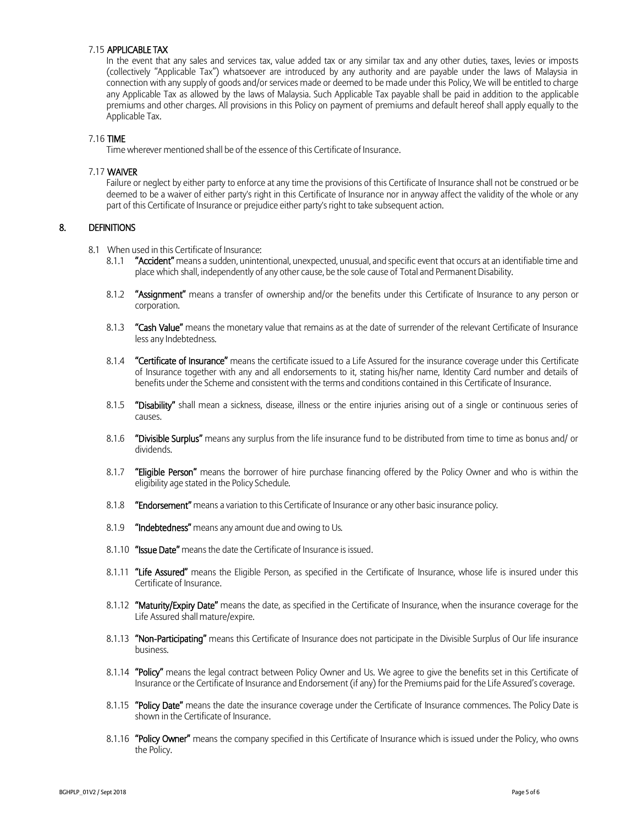#### 7.15 APPLICABLE TAX

In the event that any sales and services tax, value added tax or any similar tax and any other duties, taxes, levies or imposts (collectively "Applicable Tax") whatsoever are introduced by any authority and are payable under the laws of Malaysia in connection with any supply of goods and/or services made or deemed to be made under this Policy, We will be entitled to charge any Applicable Tax as allowed by the laws of Malaysia. Such Applicable Tax payable shall be paid in addition to the applicable premiums and other charges. All provisions in this Policy on payment of premiums and default hereof shall apply equally to the Applicable Tax.

#### 7.16 TIME

Time wherever mentioned shall be of the essence of this Certificate of Insurance.

## 7.17 WAIVER

Failure or neglect by either party to enforce at any time the provisions of this Certificate of Insurance shall not be construed or be deemed to be a waiver of either party's right in this Certificate of Insurance nor in anyway affect the validity of the whole or any part of this Certificate of Insurance or prejudice either party's right to take subsequent action.

## 8. DEFINITIONS

- 8.1 When used in this Certificate of Insurance:
	- 8.1.1 "Accident" means a sudden, unintentional, unexpected, unusual, and specific event that occurs at an identifiable time and place which shall, independently of any other cause, be the sole cause of Total and Permanent Disability.
	- 8.1.2 "Assignment" means a transfer of ownership and/or the benefits under this Certificate of Insurance to any person or corporation.
	- 8.1.3 "Cash Value" means the monetary value that remains as at the date of surrender of the relevant Certificate of Insurance less any Indebtedness.
	- 8.1.4 "Certificate of Insurance" means the certificate issued to a Life Assured for the insurance coverage under this Certificate of Insurance together with any and all endorsements to it, stating his/her name, Identity Card number and details of benefits under the Scheme and consistent with the terms and conditions contained in this Certificate of Insurance.
	- 8.1.5 "Disability" shall mean a sickness, disease, illness or the entire injuries arising out of a single or continuous series of causes.
	- 8.1.6 "Divisible Surplus" means any surplus from the life insurance fund to be distributed from time to time as bonus and/ or dividends.
	- 8.1.7 "Eligible Person" means the borrower of hire purchase financing offered by the Policy Owner and who is within the eligibility age stated in the Policy Schedule.
	- 8.1.8 "Endorsement" means a variation to this Certificate of Insurance or any other basic insurance policy.
	- 8.1.9 "Indebtedness" means any amount due and owing to Us.
	- 8.1.10 "Issue Date" means the date the Certificate of Insurance is issued.
	- 8.1.11 "Life Assured" means the Eligible Person, as specified in the Certificate of Insurance, whose life is insured under this Certificate of Insurance.
	- 8.1.12 "Maturity/Expiry Date" means the date, as specified in the Certificate of Insurance, when the insurance coverage for the Life Assured shall mature/expire.
	- 8.1.13 "Non-Participating" means this Certificate of Insurance does not participate in the Divisible Surplus of Our life insurance business.
	- 8.1.14 "Policy" means the legal contract between Policy Owner and Us. We agree to give the benefits set in this Certificate of Insurance or the Certificate of Insurance and Endorsement (if any) for the Premiums paid for the Life Assured's coverage.
	- 8.1.15 "Policy Date" means the date the insurance coverage under the Certificate of Insurance commences. The Policy Date is shown in the Certificate of Insurance.
	- 8.1.16 "Policy Owner" means the company specified in this Certificate of Insurance which is issued under the Policy, who owns the Policy.